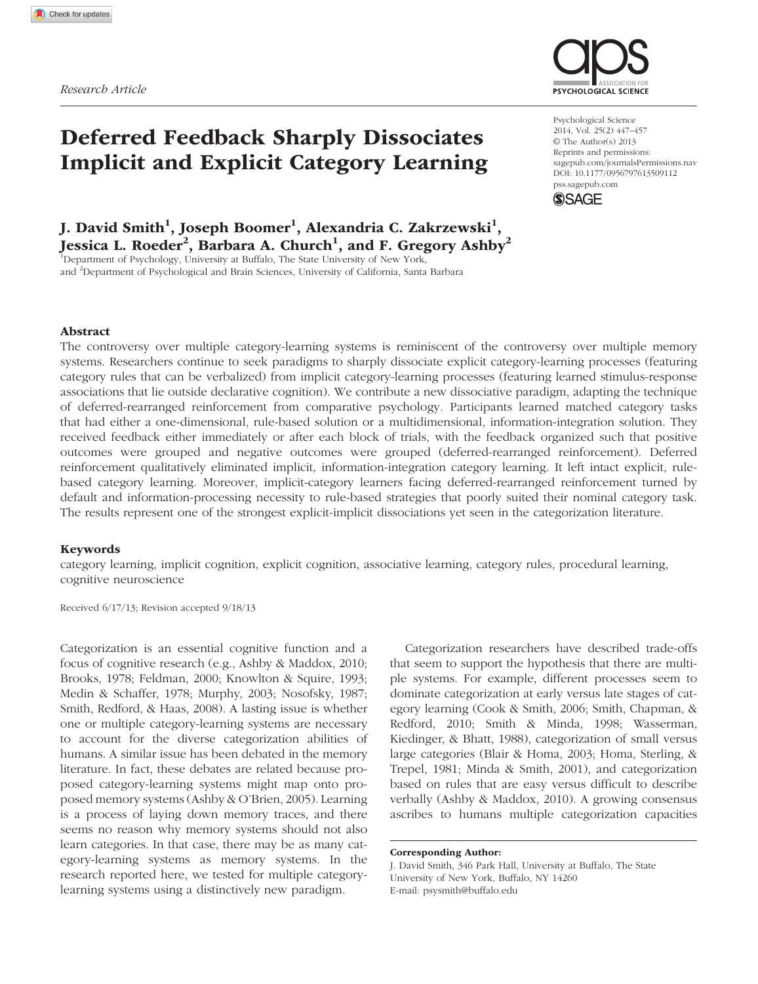

# Deferred Feedback Sharply Dissociates Implicit and Explicit Category Learning

Psychological Science 2014, Vol. 25(2) 447–457 © The Author(s) 2013 Reprints and permissions: sagepub.com/journalsPermissions.nav DOI: 10.1177/0956797613509112 pss.sagepub.com



J. David Smith $^1$ , Joseph Boomer $^1$ , Alexandria C. Zakrzewski $^1$ , Jessica L. Roeder<sup>2</sup>, Barbara A. Church<sup>1</sup>, and F. Gregory Ashby<sup>2</sup> <sup>1</sup>Department of Psychology, University at Buffalo, The State University of New York,

and <sup>2</sup>Department of Psychological and Brain Sciences, University of California, Santa Barbara

#### Abstract

The controversy over multiple category-learning systems is reminiscent of the controversy over multiple memory systems. Researchers continue to seek paradigms to sharply dissociate explicit category-learning processes (featuring category rules that can be verbalized) from implicit category-learning processes (featuring learned stimulus-response associations that lie outside declarative cognition). We contribute a new dissociative paradigm, adapting the technique of deferred-rearranged reinforcement from comparative psychology. Participants learned matched category tasks that had either a one-dimensional, rule-based solution or a multidimensional, information-integration solution. They received feedback either immediately or after each block of trials, with the feedback organized such that positive outcomes were grouped and negative outcomes were grouped (deferred-rearranged reinforcement). Deferred reinforcement qualitatively eliminated implicit, information-integration category learning. It left intact explicit, rulebased category learning. Moreover, implicit-category learners facing deferred-rearranged reinforcement turned by default and information-processing necessity to rule-based strategies that poorly suited their nominal category task. The results represent one of the strongest explicit-implicit dissociations yet seen in the categorization literature.

#### Keywords

category learning, implicit cognition, explicit cognition, associative learning, category rules, procedural learning, cognitive neuroscience

Received 6/17/13; Revision accepted 9/18/13

Categorization is an essential cognitive function and a focus of cognitive research (e.g., Ashby & Maddox, 2010; Brooks, 1978; Feldman, 2000; Knowlton & Squire, 1993; Medin & Schaffer, 1978; Murphy, 2003; Nosofsky, 1987; Smith, Redford, & Haas, 2008). A lasting issue is whether one or multiple category-learning systems are necessary to account for the diverse categorization abilities of humans. A similar issue has been debated in the memory literature. In fact, these debates are related because proposed category-learning systems might map onto proposed memory systems (Ashby & O'Brien, 2005). Learning is a process of laying down memory traces, and there seems no reason why memory systems should not also learn categories. In that case, there may be as many category-learning systems as memory systems. In the research reported here, we tested for multiple categorylearning systems using a distinctively new paradigm.

Categorization researchers have described trade-offs that seem to support the hypothesis that there are multiple systems. For example, different processes seem to dominate categorization at early versus late stages of category learning (Cook & Smith, 2006; Smith, Chapman, & Redford, 2010; Smith & Minda, 1998; Wasserman, Kiedinger, & Bhatt, 1988), categorization of small versus large categories (Blair & Homa, 2003; Homa, Sterling, & Trepel, 1981; Minda & Smith, 2001), and categorization based on rules that are easy versus difficult to describe verbally (Ashby & Maddox, 2010). A growing consensus ascribes to humans multiple categorization capacities

Corresponding Author:

J. David Smith, 346 Park Hall, University at Buffalo, The State University of New York, Buffalo, NY 14260 E-mail: psysmith@buffalo.edu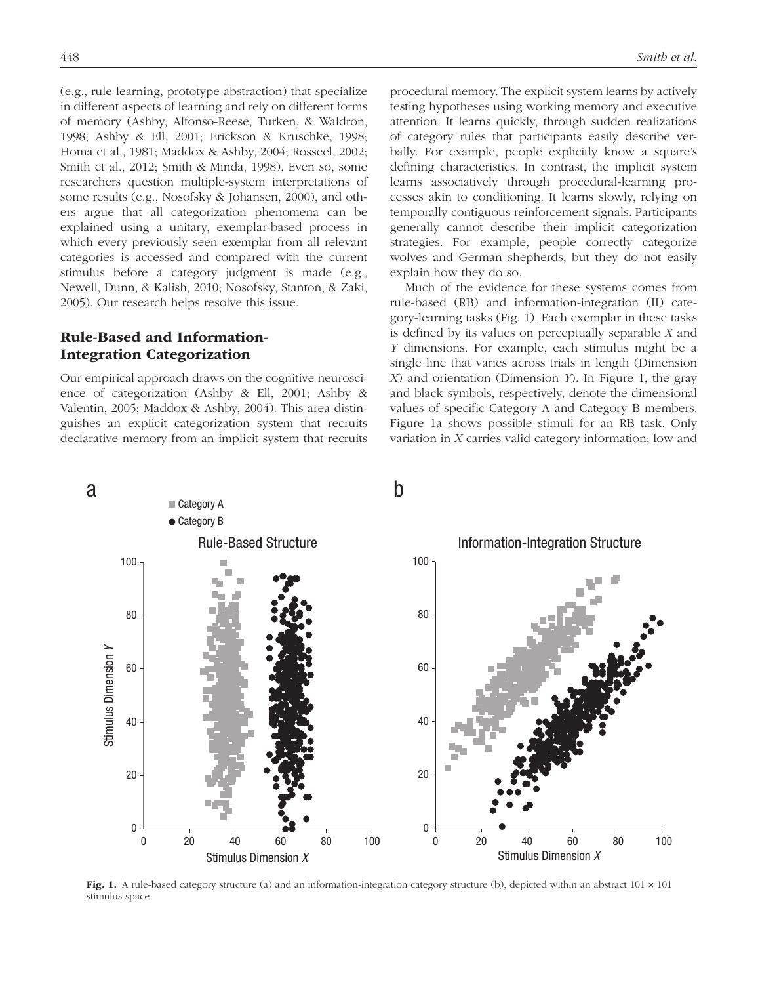(e.g., rule learning, prototype abstraction) that specialize in different aspects of learning and rely on different forms of memory (Ashby, Alfonso-Reese, Turken, & Waldron, 1998; Ashby & Ell, 2001; Erickson & Kruschke, 1998; Homa et al., 1981; Maddox & Ashby, 2004; Rosseel, 2002; Smith et al., 2012; Smith & Minda, 1998). Even so, some researchers question multiple-system interpretations of some results (e.g., Nosofsky & Johansen, 2000), and others argue that all categorization phenomena can be explained using a unitary, exemplar-based process in which every previously seen exemplar from all relevant categories is accessed and compared with the current stimulus before a category judgment is made (e.g., Newell, Dunn, & Kalish, 2010; Nosofsky, Stanton, & Zaki, 2005). Our research helps resolve this issue.

# Rule-Based and Information-Integration Categorization

Our empirical approach draws on the cognitive neuroscience of categorization (Ashby & Ell, 2001; Ashby & Valentin, 2005; Maddox & Ashby, 2004). This area distinguishes an explicit categorization system that recruits declarative memory from an implicit system that recruits

procedural memory. The explicit system learns by actively testing hypotheses using working memory and executive attention. It learns quickly, through sudden realizations of category rules that participants easily describe verbally. For example, people explicitly know a square's defining characteristics. In contrast, the implicit system learns associatively through procedural-learning processes akin to conditioning. It learns slowly, relying on temporally contiguous reinforcement signals. Participants generally cannot describe their implicit categorization strategies. For example, people correctly categorize wolves and German shepherds, but they do not easily explain how they do so.

Much of the evidence for these systems comes from rule-based (RB) and information-integration (II) category-learning tasks (Fig. 1). Each exemplar in these tasks is defined by its values on perceptually separable *X* and *Y* dimensions. For example, each stimulus might be a single line that varies across trials in length (Dimension *X*) and orientation (Dimension *Y*). In Figure 1, the gray and black symbols, respectively, denote the dimensional values of specific Category A and Category B members. Figure 1a shows possible stimuli for an RB task. Only variation in *X* carries valid category information; low and



Fig. 1. A rule-based category structure (a) and an information-integration category structure (b), depicted within an abstract  $101 \times 101$ stimulus space.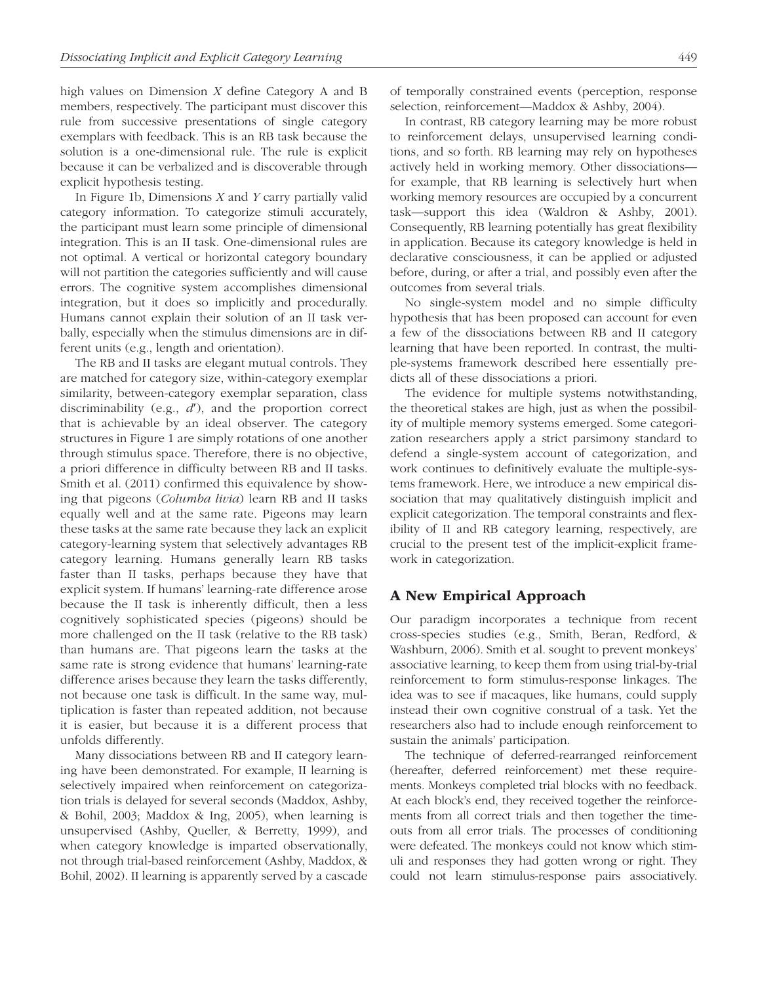high values on Dimension *X* define Category A and B members, respectively. The participant must discover this rule from successive presentations of single category exemplars with feedback. This is an RB task because the solution is a one-dimensional rule. The rule is explicit because it can be verbalized and is discoverable through explicit hypothesis testing.

In Figure 1b, Dimensions *X* and *Y* carry partially valid category information. To categorize stimuli accurately, the participant must learn some principle of dimensional integration. This is an II task. One-dimensional rules are not optimal. A vertical or horizontal category boundary will not partition the categories sufficiently and will cause errors. The cognitive system accomplishes dimensional integration, but it does so implicitly and procedurally. Humans cannot explain their solution of an II task verbally, especially when the stimulus dimensions are in different units (e.g., length and orientation).

The RB and II tasks are elegant mutual controls. They are matched for category size, within-category exemplar similarity, between-category exemplar separation, class discriminability (e.g., *d*′), and the proportion correct that is achievable by an ideal observer. The category structures in Figure 1 are simply rotations of one another through stimulus space. Therefore, there is no objective, a priori difference in difficulty between RB and II tasks. Smith et al. (2011) confirmed this equivalence by showing that pigeons (*Columba livia*) learn RB and II tasks equally well and at the same rate. Pigeons may learn these tasks at the same rate because they lack an explicit category-learning system that selectively advantages RB category learning. Humans generally learn RB tasks faster than II tasks, perhaps because they have that explicit system. If humans' learning-rate difference arose because the II task is inherently difficult, then a less cognitively sophisticated species (pigeons) should be more challenged on the II task (relative to the RB task) than humans are. That pigeons learn the tasks at the same rate is strong evidence that humans' learning-rate difference arises because they learn the tasks differently, not because one task is difficult. In the same way, multiplication is faster than repeated addition, not because it is easier, but because it is a different process that unfolds differently.

Many dissociations between RB and II category learning have been demonstrated. For example, II learning is selectively impaired when reinforcement on categorization trials is delayed for several seconds (Maddox, Ashby, & Bohil, 2003; Maddox & Ing, 2005), when learning is unsupervised (Ashby, Queller, & Berretty, 1999), and when category knowledge is imparted observationally, not through trial-based reinforcement (Ashby, Maddox, & Bohil, 2002). II learning is apparently served by a cascade of temporally constrained events (perception, response selection, reinforcement—Maddox & Ashby, 2004).

In contrast, RB category learning may be more robust to reinforcement delays, unsupervised learning conditions, and so forth. RB learning may rely on hypotheses actively held in working memory. Other dissociations for example, that RB learning is selectively hurt when working memory resources are occupied by a concurrent task—support this idea (Waldron & Ashby, 2001). Consequently, RB learning potentially has great flexibility in application. Because its category knowledge is held in declarative consciousness, it can be applied or adjusted before, during, or after a trial, and possibly even after the outcomes from several trials.

No single-system model and no simple difficulty hypothesis that has been proposed can account for even a few of the dissociations between RB and II category learning that have been reported. In contrast, the multiple-systems framework described here essentially predicts all of these dissociations a priori.

The evidence for multiple systems notwithstanding, the theoretical stakes are high, just as when the possibility of multiple memory systems emerged. Some categorization researchers apply a strict parsimony standard to defend a single-system account of categorization, and work continues to definitively evaluate the multiple-systems framework. Here, we introduce a new empirical dissociation that may qualitatively distinguish implicit and explicit categorization. The temporal constraints and flexibility of II and RB category learning, respectively, are crucial to the present test of the implicit-explicit framework in categorization.

## A New Empirical Approach

Our paradigm incorporates a technique from recent cross-species studies (e.g., Smith, Beran, Redford, & Washburn, 2006). Smith et al. sought to prevent monkeys' associative learning, to keep them from using trial-by-trial reinforcement to form stimulus-response linkages. The idea was to see if macaques, like humans, could supply instead their own cognitive construal of a task. Yet the researchers also had to include enough reinforcement to sustain the animals' participation.

The technique of deferred-rearranged reinforcement (hereafter, deferred reinforcement) met these requirements. Monkeys completed trial blocks with no feedback. At each block's end, they received together the reinforcements from all correct trials and then together the timeouts from all error trials. The processes of conditioning were defeated. The monkeys could not know which stimuli and responses they had gotten wrong or right. They could not learn stimulus-response pairs associatively.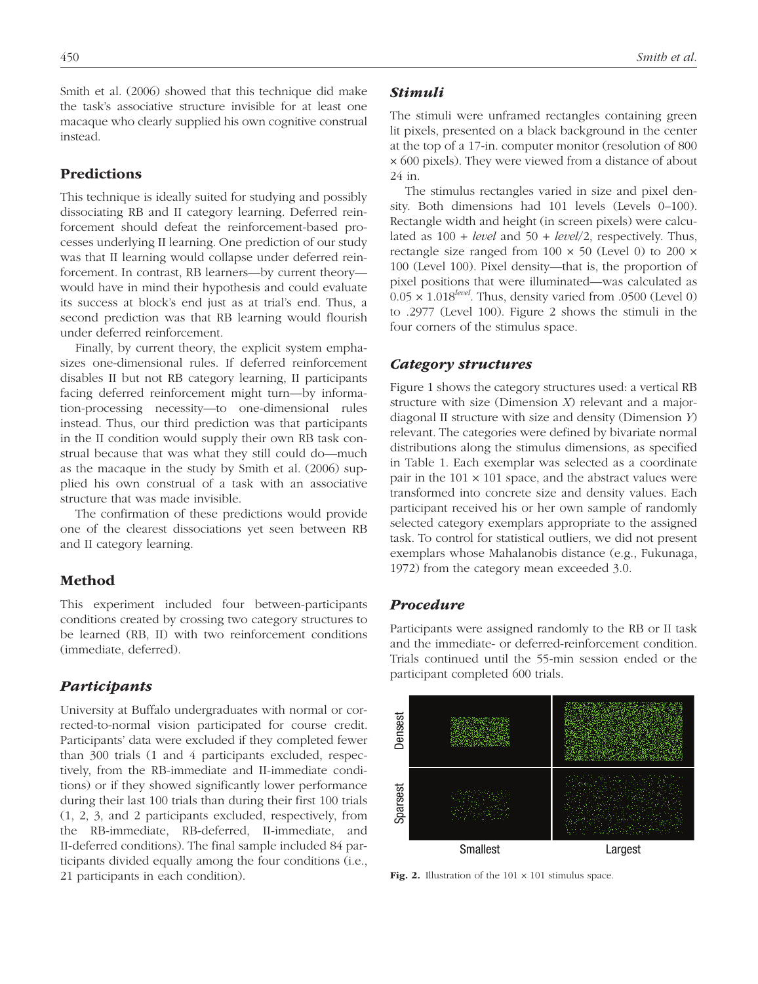Smith et al. (2006) showed that this technique did make the task's associative structure invisible for at least one macaque who clearly supplied his own cognitive construal instead.

## Predictions

This technique is ideally suited for studying and possibly dissociating RB and II category learning. Deferred reinforcement should defeat the reinforcement-based processes underlying II learning. One prediction of our study was that II learning would collapse under deferred reinforcement. In contrast, RB learners—by current theory would have in mind their hypothesis and could evaluate its success at block's end just as at trial's end. Thus, a second prediction was that RB learning would flourish under deferred reinforcement.

Finally, by current theory, the explicit system emphasizes one-dimensional rules. If deferred reinforcement disables II but not RB category learning, II participants facing deferred reinforcement might turn—by information-processing necessity—to one-dimensional rules instead. Thus, our third prediction was that participants in the II condition would supply their own RB task construal because that was what they still could do—much as the macaque in the study by Smith et al. (2006) supplied his own construal of a task with an associative structure that was made invisible.

The confirmation of these predictions would provide one of the clearest dissociations yet seen between RB and II category learning.

### Method

This experiment included four between-participants conditions created by crossing two category structures to be learned (RB, II) with two reinforcement conditions (immediate, deferred).

# *Participants*

University at Buffalo undergraduates with normal or corrected-to-normal vision participated for course credit. Participants' data were excluded if they completed fewer than 300 trials (1 and 4 participants excluded, respectively, from the RB-immediate and II-immediate conditions) or if they showed significantly lower performance during their last 100 trials than during their first 100 trials (1, 2, 3, and 2 participants excluded, respectively, from the RB-immediate, RB-deferred, II-immediate, and II-deferred conditions). The final sample included 84 participants divided equally among the four conditions (i.e., 21 participants in each condition).

### *Stimuli*

The stimuli were unframed rectangles containing green lit pixels, presented on a black background in the center at the top of a 17-in. computer monitor (resolution of 800 × 600 pixels). They were viewed from a distance of about 24 in.

The stimulus rectangles varied in size and pixel density. Both dimensions had 101 levels (Levels 0–100). Rectangle width and height (in screen pixels) were calculated as 100 + *level* and 50 + *level*/2, respectively. Thus, rectangle size ranged from  $100 \times 50$  (Level 0) to  $200 \times$ 100 (Level 100). Pixel density—that is, the proportion of pixel positions that were illuminated—was calculated as 0.05 × 1.018*level*. Thus, density varied from .0500 (Level 0) to .2977 (Level 100). Figure 2 shows the stimuli in the four corners of the stimulus space.

#### *Category structures*

Figure 1 shows the category structures used: a vertical RB structure with size (Dimension *X*) relevant and a majordiagonal II structure with size and density (Dimension *Y*) relevant. The categories were defined by bivariate normal distributions along the stimulus dimensions, as specified in Table 1. Each exemplar was selected as a coordinate pair in the  $101 \times 101$  space, and the abstract values were transformed into concrete size and density values. Each participant received his or her own sample of randomly selected category exemplars appropriate to the assigned task. To control for statistical outliers, we did not present exemplars whose Mahalanobis distance (e.g., Fukunaga, 1972) from the category mean exceeded 3.0.

#### *Procedure*

Participants were assigned randomly to the RB or II task and the immediate- or deferred-reinforcement condition. Trials continued until the 55-min session ended or the participant completed 600 trials.



Fig. 2. Illustration of the  $101 \times 101$  stimulus space.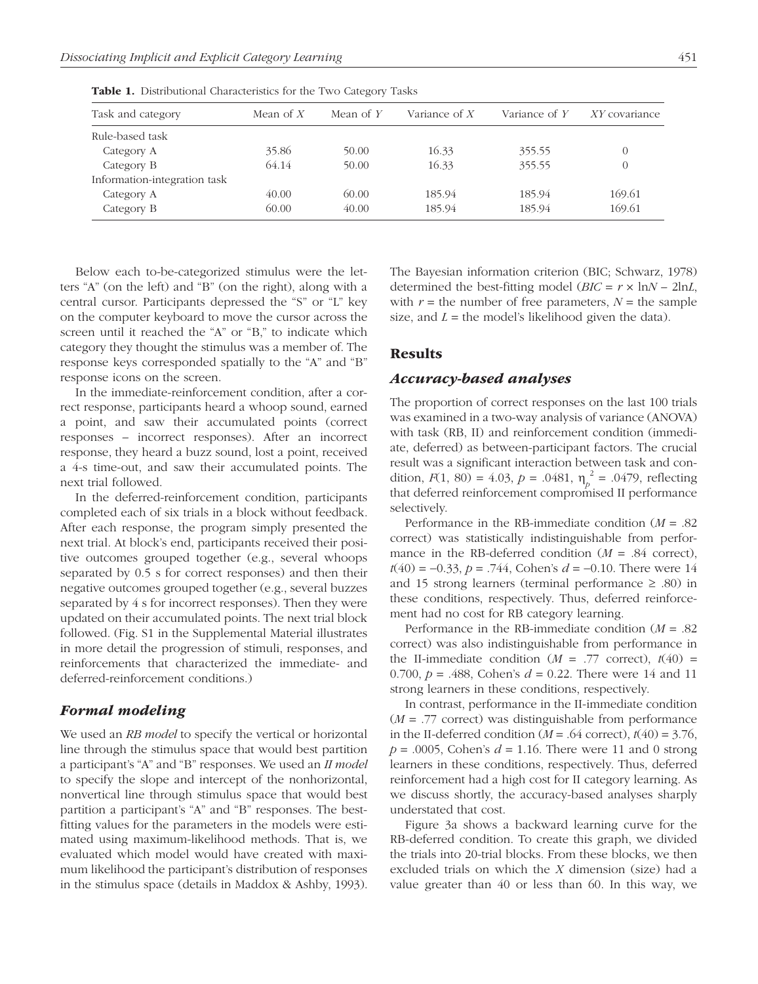| Task and category            | Mean of $X$ | Mean of $Y$ | Variance of $X$ | Variance of Y | XY covariance |
|------------------------------|-------------|-------------|-----------------|---------------|---------------|
| Rule-based task              |             |             |                 |               |               |
| Category A                   | 35.86       | 50.00       | 16.33           | 355.55        | O             |
| Category B                   | 64.14       | 50.00       | 16.33           | 355.55        | 0             |
| Information-integration task |             |             |                 |               |               |
| Category A                   | 40.00       | 60.00       | 185.94          | 185.94        | 169.61        |
| Category B                   | 60.00       | 40.00       | 185.94          | 185.94        | 169.61        |

Table 1. Distributional Characteristics for the Two Category Tasks

Below each to-be-categorized stimulus were the letters "A" (on the left) and "B" (on the right), along with a central cursor. Participants depressed the "S" or "L" key on the computer keyboard to move the cursor across the screen until it reached the "A" or "B," to indicate which category they thought the stimulus was a member of. The response keys corresponded spatially to the "A" and "B" response icons on the screen.

In the immediate-reinforcement condition, after a correct response, participants heard a whoop sound, earned a point, and saw their accumulated points (correct responses – incorrect responses). After an incorrect response, they heard a buzz sound, lost a point, received a 4-s time-out, and saw their accumulated points. The next trial followed.

In the deferred-reinforcement condition, participants completed each of six trials in a block without feedback. After each response, the program simply presented the next trial. At block's end, participants received their positive outcomes grouped together (e.g., several whoops separated by 0.5 s for correct responses) and then their negative outcomes grouped together (e.g., several buzzes separated by 4 s for incorrect responses). Then they were updated on their accumulated points. The next trial block followed. (Fig. S1 in the Supplemental Material illustrates in more detail the progression of stimuli, responses, and reinforcements that characterized the immediate- and deferred-reinforcement conditions.)

#### *Formal modeling*

We used an *RB model* to specify the vertical or horizontal line through the stimulus space that would best partition a participant's "A" and "B" responses. We used an *II model* to specify the slope and intercept of the nonhorizontal, nonvertical line through stimulus space that would best partition a participant's "A" and "B" responses. The bestfitting values for the parameters in the models were estimated using maximum-likelihood methods. That is, we evaluated which model would have created with maximum likelihood the participant's distribution of responses in the stimulus space (details in Maddox & Ashby, 1993).

The Bayesian information criterion (BIC; Schwarz, 1978) determined the best-fitting model ( $BIC = r \times \ln N - 2\ln L$ , with  $r =$  the number of free parameters,  $N =$  the sample size, and  $L =$  the model's likelihood given the data).

# **Results**

## *Accuracy-based analyses*

The proportion of correct responses on the last 100 trials was examined in a two-way analysis of variance (ANOVA) with task (RB, II) and reinforcement condition (immediate, deferred) as between-participant factors. The crucial result was a significant interaction between task and condition,  $F(1, 80) = 4.03$ ,  $p = .0481$ ,  $\eta_p^2 = .0479$ , reflecting that deferred reinforcement compromised II performance selectively.

Performance in the RB-immediate condition (*M* = .82 correct) was statistically indistinguishable from performance in the RB-deferred condition (*M* = .84 correct), *t*(40) = −0.33, *p* = .744, Cohen's *d* = −0.10. There were 14 and 15 strong learners (terminal performance  $\geq .80$ ) in these conditions, respectively. Thus, deferred reinforcement had no cost for RB category learning.

Performance in the RB-immediate condition (*M* = .82 correct) was also indistinguishable from performance in the II-immediate condition  $(M = .77$  correct),  $t(40) =$ 0.700, *p* = .488, Cohen's *d* = 0.22. There were 14 and 11 strong learners in these conditions, respectively.

In contrast, performance in the II-immediate condition (*M* = .77 correct) was distinguishable from performance in the II-deferred condition  $(M = .64$  correct),  $t(40) = 3.76$ , *p* = .0005, Cohen's *d* = 1.16. There were 11 and 0 strong learners in these conditions, respectively. Thus, deferred reinforcement had a high cost for II category learning. As we discuss shortly, the accuracy-based analyses sharply understated that cost.

Figure 3a shows a backward learning curve for the RB-deferred condition. To create this graph, we divided the trials into 20-trial blocks. From these blocks, we then excluded trials on which the *X* dimension (size) had a value greater than 40 or less than 60. In this way, we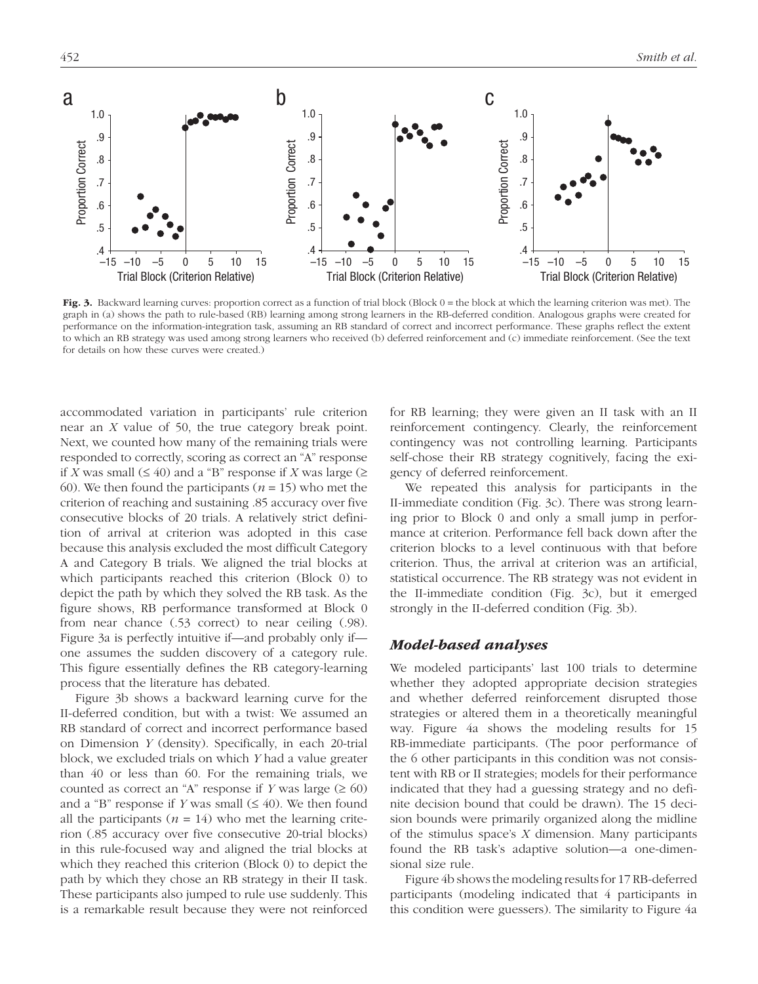

Fig. 3. Backward learning curves: proportion correct as a function of trial block (Block  $0 =$  the block at which the learning criterion was met). The graph in (a) shows the path to rule-based (RB) learning among strong learners in the RB-deferred condition. Analogous graphs were created for performance on the information-integration task, assuming an RB standard of correct and incorrect performance. These graphs reflect the extent to which an RB strategy was used among strong learners who received (b) deferred reinforcement and (c) immediate reinforcement. (See the text for details on how these curves were created.)

accommodated variation in participants' rule criterion near an *X* value of 50, the true category break point. Next, we counted how many of the remaining trials were responded to correctly, scoring as correct an "A" response if *X* was small ( $\leq 40$ ) and a "B" response if *X* was large ( $\geq$ 60). We then found the participants ( $n = 15$ ) who met the criterion of reaching and sustaining .85 accuracy over five consecutive blocks of 20 trials. A relatively strict definition of arrival at criterion was adopted in this case because this analysis excluded the most difficult Category A and Category B trials. We aligned the trial blocks at which participants reached this criterion (Block 0) to depict the path by which they solved the RB task. As the figure shows, RB performance transformed at Block 0 from near chance (.53 correct) to near ceiling (.98). Figure 3a is perfectly intuitive if—and probably only if one assumes the sudden discovery of a category rule. This figure essentially defines the RB category-learning process that the literature has debated.

Figure 3b shows a backward learning curve for the II-deferred condition, but with a twist: We assumed an RB standard of correct and incorrect performance based on Dimension *Y* (density). Specifically, in each 20-trial block, we excluded trials on which *Y* had a value greater than 40 or less than 60. For the remaining trials, we counted as correct an "A" response if *Y* was large ( $\geq 60$ ) and a "B" response if *Y* was small  $( \leq 40)$ . We then found all the participants  $(n = 14)$  who met the learning criterion (.85 accuracy over five consecutive 20-trial blocks) in this rule-focused way and aligned the trial blocks at which they reached this criterion (Block 0) to depict the path by which they chose an RB strategy in their II task. These participants also jumped to rule use suddenly. This is a remarkable result because they were not reinforced for RB learning; they were given an II task with an II reinforcement contingency. Clearly, the reinforcement contingency was not controlling learning. Participants self-chose their RB strategy cognitively, facing the exigency of deferred reinforcement.

We repeated this analysis for participants in the II-immediate condition (Fig. 3c). There was strong learning prior to Block 0 and only a small jump in performance at criterion. Performance fell back down after the criterion blocks to a level continuous with that before criterion. Thus, the arrival at criterion was an artificial, statistical occurrence. The RB strategy was not evident in the II-immediate condition (Fig. 3c), but it emerged strongly in the II-deferred condition (Fig. 3b).

#### *Model-based analyses*

We modeled participants' last 100 trials to determine whether they adopted appropriate decision strategies and whether deferred reinforcement disrupted those strategies or altered them in a theoretically meaningful way. Figure 4a shows the modeling results for 15 RB-immediate participants. (The poor performance of the 6 other participants in this condition was not consistent with RB or II strategies; models for their performance indicated that they had a guessing strategy and no definite decision bound that could be drawn). The 15 decision bounds were primarily organized along the midline of the stimulus space's *X* dimension. Many participants found the RB task's adaptive solution—a one-dimensional size rule.

Figure 4b shows the modeling results for 17 RB-deferred participants (modeling indicated that 4 participants in this condition were guessers). The similarity to Figure 4a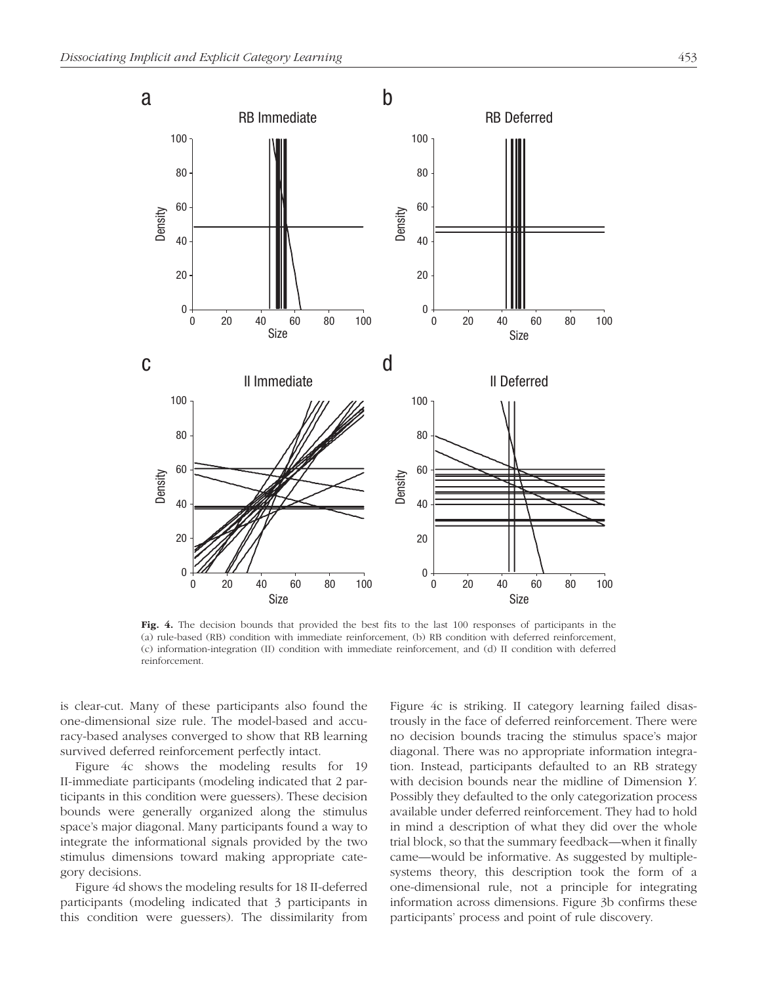

Fig. 4. The decision bounds that provided the best fits to the last 100 responses of participants in the (a) rule-based (RB) condition with immediate reinforcement, (b) RB condition with deferred reinforcement, (c) information-integration (II) condition with immediate reinforcement, and (d) II condition with deferred reinforcement.

is clear-cut. Many of these participants also found the one-dimensional size rule. The model-based and accuracy-based analyses converged to show that RB learning survived deferred reinforcement perfectly intact.

Figure 4c shows the modeling results for 19 II-immediate participants (modeling indicated that 2 participants in this condition were guessers). These decision bounds were generally organized along the stimulus space's major diagonal. Many participants found a way to integrate the informational signals provided by the two stimulus dimensions toward making appropriate category decisions.

Figure 4d shows the modeling results for 18 II-deferred participants (modeling indicated that 3 participants in this condition were guessers). The dissimilarity from Figure 4c is striking. II category learning failed disastrously in the face of deferred reinforcement. There were no decision bounds tracing the stimulus space's major diagonal. There was no appropriate information integration. Instead, participants defaulted to an RB strategy with decision bounds near the midline of Dimension *Y*. Possibly they defaulted to the only categorization process available under deferred reinforcement. They had to hold in mind a description of what they did over the whole trial block, so that the summary feedback—when it finally came—would be informative. As suggested by multiplesystems theory, this description took the form of a one-dimensional rule, not a principle for integrating information across dimensions. Figure 3b confirms these participants' process and point of rule discovery.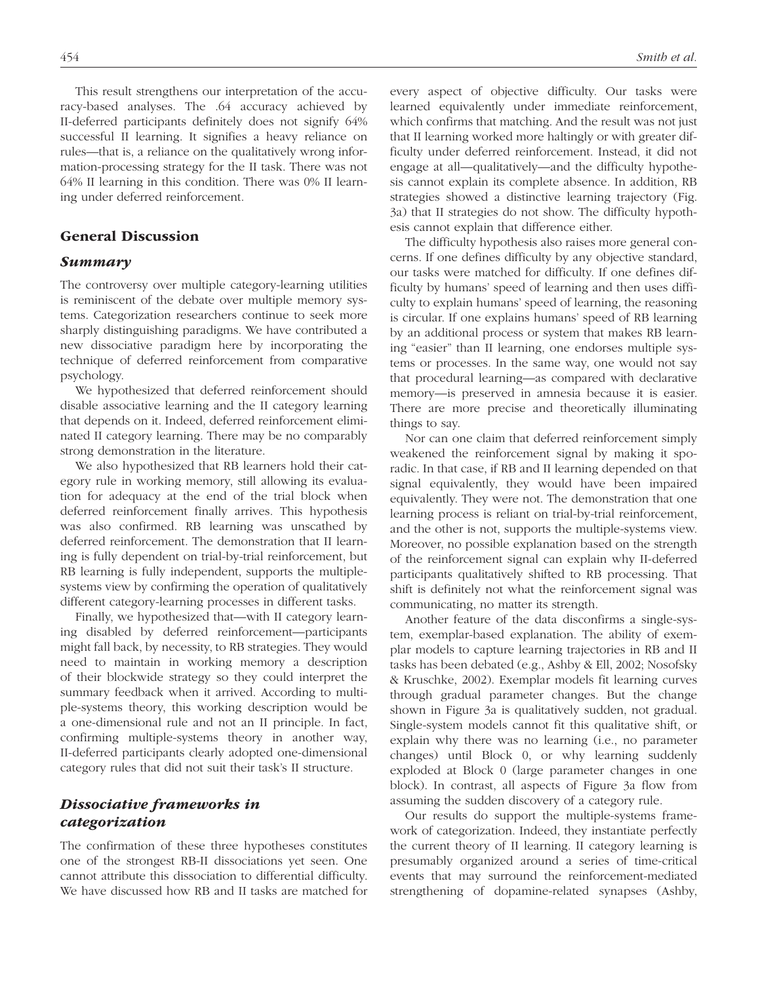This result strengthens our interpretation of the accuracy-based analyses. The .64 accuracy achieved by II-deferred participants definitely does not signify 64% successful II learning. It signifies a heavy reliance on rules—that is, a reliance on the qualitatively wrong information-processing strategy for the II task. There was not 64% II learning in this condition. There was 0% II learning under deferred reinforcement.

## General Discussion

#### *Summary*

The controversy over multiple category-learning utilities is reminiscent of the debate over multiple memory systems. Categorization researchers continue to seek more sharply distinguishing paradigms. We have contributed a new dissociative paradigm here by incorporating the technique of deferred reinforcement from comparative psychology.

We hypothesized that deferred reinforcement should disable associative learning and the II category learning that depends on it. Indeed, deferred reinforcement eliminated II category learning. There may be no comparably strong demonstration in the literature.

We also hypothesized that RB learners hold their category rule in working memory, still allowing its evaluation for adequacy at the end of the trial block when deferred reinforcement finally arrives. This hypothesis was also confirmed. RB learning was unscathed by deferred reinforcement. The demonstration that II learning is fully dependent on trial-by-trial reinforcement, but RB learning is fully independent, supports the multiplesystems view by confirming the operation of qualitatively different category-learning processes in different tasks.

Finally, we hypothesized that—with II category learning disabled by deferred reinforcement—participants might fall back, by necessity, to RB strategies. They would need to maintain in working memory a description of their blockwide strategy so they could interpret the summary feedback when it arrived. According to multiple-systems theory, this working description would be a one-dimensional rule and not an II principle. In fact, confirming multiple-systems theory in another way, II-deferred participants clearly adopted one-dimensional category rules that did not suit their task's II structure.

# *Dissociative frameworks in categorization*

The confirmation of these three hypotheses constitutes one of the strongest RB-II dissociations yet seen. One cannot attribute this dissociation to differential difficulty. We have discussed how RB and II tasks are matched for every aspect of objective difficulty. Our tasks were learned equivalently under immediate reinforcement, which confirms that matching. And the result was not just that II learning worked more haltingly or with greater difficulty under deferred reinforcement. Instead, it did not engage at all—qualitatively—and the difficulty hypothesis cannot explain its complete absence. In addition, RB strategies showed a distinctive learning trajectory (Fig. 3a) that II strategies do not show. The difficulty hypothesis cannot explain that difference either.

The difficulty hypothesis also raises more general concerns. If one defines difficulty by any objective standard, our tasks were matched for difficulty. If one defines difficulty by humans' speed of learning and then uses difficulty to explain humans' speed of learning, the reasoning is circular. If one explains humans' speed of RB learning by an additional process or system that makes RB learning "easier" than II learning, one endorses multiple systems or processes. In the same way, one would not say that procedural learning—as compared with declarative memory—is preserved in amnesia because it is easier. There are more precise and theoretically illuminating things to say.

Nor can one claim that deferred reinforcement simply weakened the reinforcement signal by making it sporadic. In that case, if RB and II learning depended on that signal equivalently, they would have been impaired equivalently. They were not. The demonstration that one learning process is reliant on trial-by-trial reinforcement, and the other is not, supports the multiple-systems view. Moreover, no possible explanation based on the strength of the reinforcement signal can explain why II-deferred participants qualitatively shifted to RB processing. That shift is definitely not what the reinforcement signal was communicating, no matter its strength.

Another feature of the data disconfirms a single-system, exemplar-based explanation. The ability of exemplar models to capture learning trajectories in RB and II tasks has been debated (e.g., Ashby & Ell, 2002; Nosofsky & Kruschke, 2002). Exemplar models fit learning curves through gradual parameter changes. But the change shown in Figure 3a is qualitatively sudden, not gradual. Single-system models cannot fit this qualitative shift, or explain why there was no learning (i.e., no parameter changes) until Block 0, or why learning suddenly exploded at Block 0 (large parameter changes in one block). In contrast, all aspects of Figure 3a flow from assuming the sudden discovery of a category rule.

Our results do support the multiple-systems framework of categorization. Indeed, they instantiate perfectly the current theory of II learning. II category learning is presumably organized around a series of time-critical events that may surround the reinforcement-mediated strengthening of dopamine-related synapses (Ashby,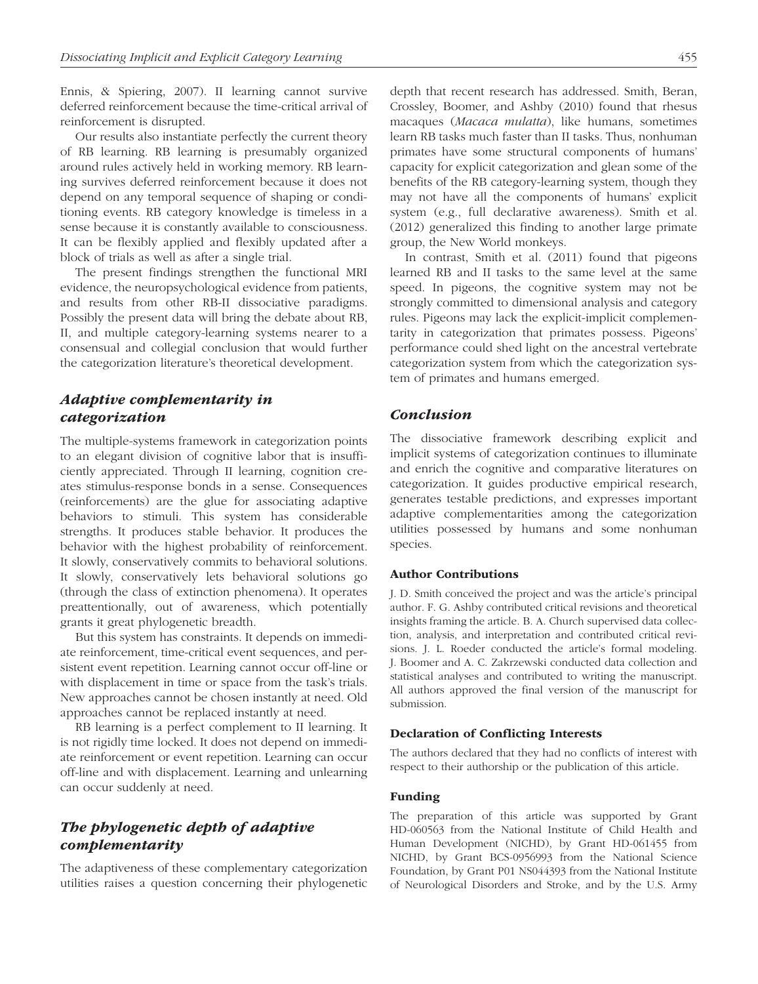Ennis, & Spiering, 2007). II learning cannot survive deferred reinforcement because the time-critical arrival of reinforcement is disrupted.

Our results also instantiate perfectly the current theory of RB learning. RB learning is presumably organized around rules actively held in working memory. RB learning survives deferred reinforcement because it does not depend on any temporal sequence of shaping or conditioning events. RB category knowledge is timeless in a sense because it is constantly available to consciousness. It can be flexibly applied and flexibly updated after a block of trials as well as after a single trial.

The present findings strengthen the functional MRI evidence, the neuropsychological evidence from patients, and results from other RB-II dissociative paradigms. Possibly the present data will bring the debate about RB, II, and multiple category-learning systems nearer to a consensual and collegial conclusion that would further the categorization literature's theoretical development.

# *Adaptive complementarity in categorization*

The multiple-systems framework in categorization points to an elegant division of cognitive labor that is insufficiently appreciated. Through II learning, cognition creates stimulus-response bonds in a sense. Consequences (reinforcements) are the glue for associating adaptive behaviors to stimuli. This system has considerable strengths. It produces stable behavior. It produces the behavior with the highest probability of reinforcement. It slowly, conservatively commits to behavioral solutions. It slowly, conservatively lets behavioral solutions go (through the class of extinction phenomena). It operates preattentionally, out of awareness, which potentially grants it great phylogenetic breadth.

But this system has constraints. It depends on immediate reinforcement, time-critical event sequences, and persistent event repetition. Learning cannot occur off-line or with displacement in time or space from the task's trials. New approaches cannot be chosen instantly at need. Old approaches cannot be replaced instantly at need.

RB learning is a perfect complement to II learning. It is not rigidly time locked. It does not depend on immediate reinforcement or event repetition. Learning can occur off-line and with displacement. Learning and unlearning can occur suddenly at need.

# *The phylogenetic depth of adaptive complementarity*

The adaptiveness of these complementary categorization utilities raises a question concerning their phylogenetic depth that recent research has addressed. Smith, Beran, Crossley, Boomer, and Ashby (2010) found that rhesus macaques (*Macaca mulatta*), like humans, sometimes learn RB tasks much faster than II tasks. Thus, nonhuman primates have some structural components of humans' capacity for explicit categorization and glean some of the benefits of the RB category-learning system, though they may not have all the components of humans' explicit system (e.g., full declarative awareness). Smith et al. (2012) generalized this finding to another large primate group, the New World monkeys.

In contrast, Smith et al. (2011) found that pigeons learned RB and II tasks to the same level at the same speed. In pigeons, the cognitive system may not be strongly committed to dimensional analysis and category rules. Pigeons may lack the explicit-implicit complementarity in categorization that primates possess. Pigeons' performance could shed light on the ancestral vertebrate categorization system from which the categorization system of primates and humans emerged.

## *Conclusion*

The dissociative framework describing explicit and implicit systems of categorization continues to illuminate and enrich the cognitive and comparative literatures on categorization. It guides productive empirical research, generates testable predictions, and expresses important adaptive complementarities among the categorization utilities possessed by humans and some nonhuman species.

#### Author Contributions

J. D. Smith conceived the project and was the article's principal author. F. G. Ashby contributed critical revisions and theoretical insights framing the article. B. A. Church supervised data collection, analysis, and interpretation and contributed critical revisions. J. L. Roeder conducted the article's formal modeling. J. Boomer and A. C. Zakrzewski conducted data collection and statistical analyses and contributed to writing the manuscript. All authors approved the final version of the manuscript for submission.

#### Declaration of Conflicting Interests

The authors declared that they had no conflicts of interest with respect to their authorship or the publication of this article.

#### Funding

The preparation of this article was supported by Grant HD-060563 from the National Institute of Child Health and Human Development (NICHD), by Grant HD-061455 from NICHD, by Grant BCS-0956993 from the National Science Foundation, by Grant P01 NS044393 from the National Institute of Neurological Disorders and Stroke, and by the U.S. Army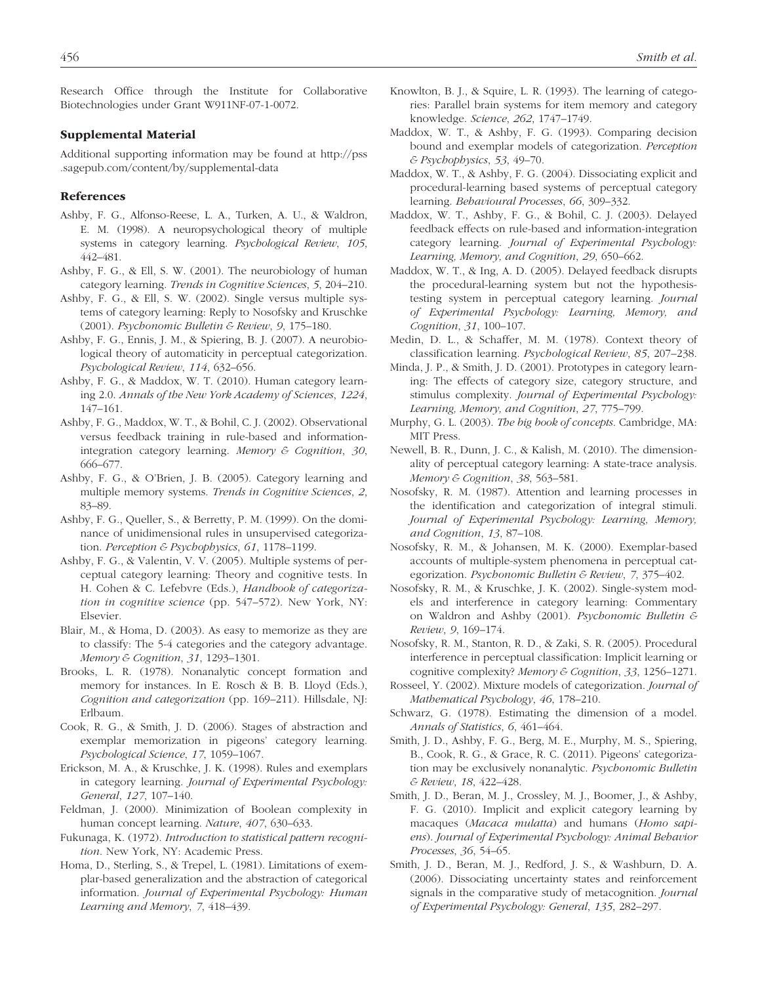Research Office through the Institute for Collaborative Biotechnologies under Grant W911NF-07-1-0072.

#### Supplemental Material

[Additional supporting information may be found at http://pss](http://pss.sagepub.com/content/by/supplemental-data) .sagepub.com/content/by/supplemental-data

#### References

- Ashby, F. G., Alfonso-Reese, L. A., Turken, A. U., & Waldron, E. M. (1998). A neuropsychological theory of multiple systems in category learning. *Psychological Review*, *105*, 442–481.
- Ashby, F. G., & Ell, S. W. (2001). The neurobiology of human category learning. *Trends in Cognitive Sciences*, *5*, 204–210.
- Ashby, F. G., & Ell, S. W. (2002). Single versus multiple systems of category learning: Reply to Nosofsky and Kruschke (2001). *Psychonomic Bulletin & Review*, *9*, 175–180.
- Ashby, F. G., Ennis, J. M., & Spiering, B. J. (2007). A neurobiological theory of automaticity in perceptual categorization. *Psychological Review*, *114*, 632–656.
- Ashby, F. G., & Maddox, W. T. (2010). Human category learning 2.0. *Annals of the New York Academy of Sciences*, *1224*, 147–161.
- Ashby, F. G., Maddox, W. T., & Bohil, C. J. (2002). Observational versus feedback training in rule-based and informationintegration category learning. *Memory & Cognition*, *30*, 666–677.
- Ashby, F. G., & O'Brien, J. B. (2005). Category learning and multiple memory systems. *Trends in Cognitive Sciences*, *2*, 83–89.
- Ashby, F. G., Queller, S., & Berretty, P. M. (1999). On the dominance of unidimensional rules in unsupervised categorization. *Perception & Psychophysics*, *61*, 1178–1199.
- Ashby, F. G., & Valentin, V. V. (2005). Multiple systems of perceptual category learning: Theory and cognitive tests. In H. Cohen & C. Lefebvre (Eds.), *Handbook of categorization in cognitive science* (pp. 547–572). New York, NY: Elsevier.
- Blair, M., & Homa, D. (2003). As easy to memorize as they are to classify: The 5-4 categories and the category advantage. *Memory & Cognition*, *31*, 1293–1301.
- Brooks, L. R. (1978). Nonanalytic concept formation and memory for instances. In E. Rosch & B. B. Lloyd (Eds.), *Cognition and categorization* (pp. 169–211). Hillsdale, NJ: Erlbaum.
- Cook, R. G., & Smith, J. D. (2006). Stages of abstraction and exemplar memorization in pigeons' category learning. *Psychological Science*, *17*, 1059–1067.
- Erickson, M. A., & Kruschke, J. K. (1998). Rules and exemplars in category learning. *Journal of Experimental Psychology: General*, *127*, 107–140.
- Feldman, J. (2000). Minimization of Boolean complexity in human concept learning. *Nature*, *407*, 630–633.
- Fukunaga, K. (1972). *Introduction to statistical pattern recognition*. New York, NY: Academic Press.
- Homa, D., Sterling, S., & Trepel, L. (1981). Limitations of exemplar-based generalization and the abstraction of categorical information. *Journal of Experimental Psychology: Human Learning and Memory*, *7*, 418–439.
- Knowlton, B. J., & Squire, L. R. (1993). The learning of categories: Parallel brain systems for item memory and category knowledge. *Science*, *262*, 1747–1749.
- Maddox, W. T., & Ashby, F. G. (1993). Comparing decision bound and exemplar models of categorization. *Perception & Psychophysics*, *53*, 49–70.
- Maddox, W. T., & Ashby, F. G. (2004). Dissociating explicit and procedural-learning based systems of perceptual category learning. *Behavioural Processes*, *66*, 309–332.
- Maddox, W. T., Ashby, F. G., & Bohil, C. J. (2003). Delayed feedback effects on rule-based and information-integration category learning. *Journal of Experimental Psychology: Learning, Memory, and Cognition*, *29*, 650–662.
- Maddox, W. T., & Ing, A. D. (2005). Delayed feedback disrupts the procedural-learning system but not the hypothesistesting system in perceptual category learning. *Journal of Experimental Psychology: Learning, Memory, and Cognition*, *31*, 100–107.
- Medin, D. L., & Schaffer, M. M. (1978). Context theory of classification learning. *Psychological Review*, *85*, 207–238.
- Minda, J. P., & Smith, J. D. (2001). Prototypes in category learning: The effects of category size, category structure, and stimulus complexity. *Journal of Experimental Psychology: Learning, Memory, and Cognition*, *27*, 775–799.
- Murphy, G. L. (2003). *The big book of concepts*. Cambridge, MA: MIT Press.
- Newell, B. R., Dunn, J. C., & Kalish, M. (2010). The dimensionality of perceptual category learning: A state-trace analysis. *Memory & Cognition*, *38*, 563–581.
- Nosofsky, R. M. (1987). Attention and learning processes in the identification and categorization of integral stimuli. *Journal of Experimental Psychology: Learning, Memory, and Cognition*, *13*, 87–108.
- Nosofsky, R. M., & Johansen, M. K. (2000). Exemplar-based accounts of multiple-system phenomena in perceptual categorization. *Psychonomic Bulletin & Review*, *7*, 375–402.
- Nosofsky, R. M., & Kruschke, J. K. (2002). Single-system models and interference in category learning: Commentary on Waldron and Ashby (2001). *Psychonomic Bulletin & Review*, *9*, 169–174.
- Nosofsky, R. M., Stanton, R. D., & Zaki, S. R. (2005). Procedural interference in perceptual classification: Implicit learning or cognitive complexity? *Memory & Cognition*, *33*, 1256–1271.
- Rosseel, Y. (2002). Mixture models of categorization. *Journal of Mathematical Psychology*, *46*, 178–210.
- Schwarz, G. (1978). Estimating the dimension of a model. *Annals of Statistics*, *6*, 461–464.
- Smith, J. D., Ashby, F. G., Berg, M. E., Murphy, M. S., Spiering, B., Cook, R. G., & Grace, R. C. (2011). Pigeons' categorization may be exclusively nonanalytic. *Psychonomic Bulletin & Review*, *18*, 422–428.
- Smith, J. D., Beran, M. J., Crossley, M. J., Boomer, J., & Ashby, F. G. (2010). Implicit and explicit category learning by macaques (*Macaca mulatta*) and humans (*Homo sapiens*). *Journal of Experimental Psychology: Animal Behavior Processes*, *36*, 54–65.
- Smith, J. D., Beran, M. J., Redford, J. S., & Washburn, D. A. (2006). Dissociating uncertainty states and reinforcement signals in the comparative study of metacognition. *Journal of Experimental Psychology: General*, *135*, 282–297.